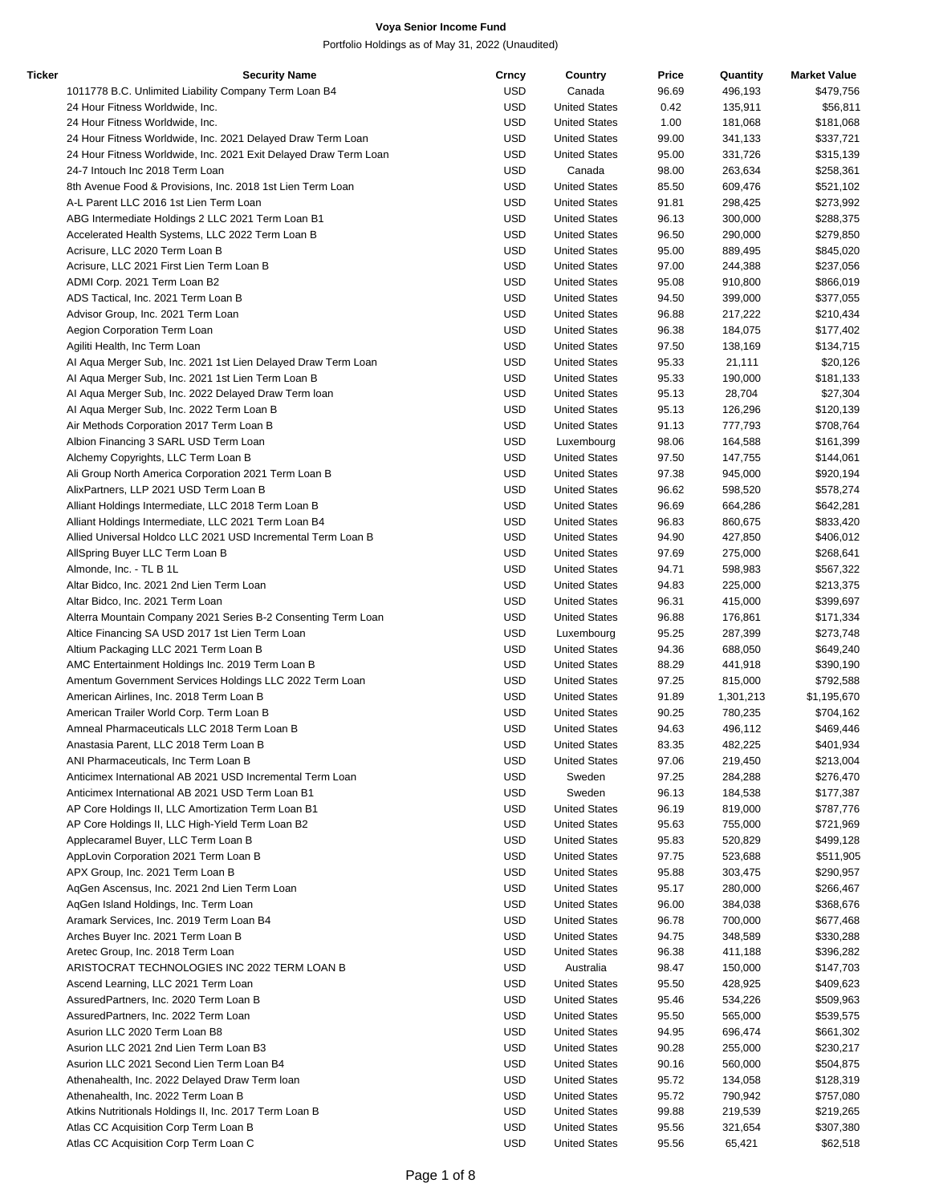| Ticker | <b>Security Name</b>                                             | Crncy      | Country              | Price | Quantity  | <b>Market Value</b> |
|--------|------------------------------------------------------------------|------------|----------------------|-------|-----------|---------------------|
|        | 1011778 B.C. Unlimited Liability Company Term Loan B4            | <b>USD</b> | Canada               | 96.69 | 496,193   | \$479,756           |
|        | 24 Hour Fitness Worldwide, Inc.                                  | <b>USD</b> | <b>United States</b> | 0.42  | 135,911   | \$56,811            |
|        | 24 Hour Fitness Worldwide, Inc.                                  | <b>USD</b> | <b>United States</b> | 1.00  | 181,068   | \$181,068           |
|        | 24 Hour Fitness Worldwide, Inc. 2021 Delayed Draw Term Loan      | <b>USD</b> | <b>United States</b> | 99.00 | 341,133   | \$337,721           |
|        | 24 Hour Fitness Worldwide, Inc. 2021 Exit Delayed Draw Term Loan | <b>USD</b> | <b>United States</b> | 95.00 | 331,726   | \$315,139           |
|        | 24-7 Intouch Inc 2018 Term Loan                                  | <b>USD</b> | Canada               | 98.00 | 263,634   | \$258,361           |
|        | 8th Avenue Food & Provisions, Inc. 2018 1st Lien Term Loan       | <b>USD</b> | <b>United States</b> | 85.50 | 609,476   | \$521,102           |
|        | A-L Parent LLC 2016 1st Lien Term Loan                           | <b>USD</b> | <b>United States</b> | 91.81 | 298,425   | \$273,992           |
|        | ABG Intermediate Holdings 2 LLC 2021 Term Loan B1                | <b>USD</b> | <b>United States</b> | 96.13 | 300,000   | \$288,375           |
|        | Accelerated Health Systems, LLC 2022 Term Loan B                 | <b>USD</b> | <b>United States</b> | 96.50 | 290,000   | \$279,850           |
|        | Acrisure, LLC 2020 Term Loan B                                   | <b>USD</b> | <b>United States</b> | 95.00 | 889,495   | \$845,020           |
|        |                                                                  |            |                      |       |           |                     |
|        | Acrisure, LLC 2021 First Lien Term Loan B                        | <b>USD</b> | <b>United States</b> | 97.00 | 244,388   | \$237,056           |
|        | ADMI Corp. 2021 Term Loan B2                                     | <b>USD</b> | <b>United States</b> | 95.08 | 910,800   | \$866,019           |
|        | ADS Tactical, Inc. 2021 Term Loan B                              | <b>USD</b> | <b>United States</b> | 94.50 | 399,000   | \$377,055           |
|        | Advisor Group, Inc. 2021 Term Loan                               | <b>USD</b> | <b>United States</b> | 96.88 | 217,222   | \$210,434           |
|        | Aegion Corporation Term Loan                                     | <b>USD</b> | <b>United States</b> | 96.38 | 184,075   | \$177,402           |
|        | Agiliti Health, Inc Term Loan                                    | <b>USD</b> | <b>United States</b> | 97.50 | 138,169   | \$134,715           |
|        | Al Aqua Merger Sub, Inc. 2021 1st Lien Delayed Draw Term Loan    | <b>USD</b> | <b>United States</b> | 95.33 | 21,111    | \$20,126            |
|        | Al Aqua Merger Sub, Inc. 2021 1st Lien Term Loan B               | <b>USD</b> | <b>United States</b> | 95.33 | 190,000   | \$181,133           |
|        | Al Aqua Merger Sub, Inc. 2022 Delayed Draw Term Ioan             | <b>USD</b> | <b>United States</b> | 95.13 | 28,704    | \$27,304            |
|        | Al Aqua Merger Sub, Inc. 2022 Term Loan B                        | <b>USD</b> | <b>United States</b> | 95.13 | 126,296   | \$120,139           |
|        | Air Methods Corporation 2017 Term Loan B                         | <b>USD</b> | <b>United States</b> | 91.13 | 777,793   | \$708,764           |
|        | Albion Financing 3 SARL USD Term Loan                            | <b>USD</b> | Luxembourg           | 98.06 | 164,588   | \$161,399           |
|        | Alchemy Copyrights, LLC Term Loan B                              | <b>USD</b> | <b>United States</b> | 97.50 | 147,755   | \$144,061           |
|        | Ali Group North America Corporation 2021 Term Loan B             | <b>USD</b> | <b>United States</b> | 97.38 | 945,000   | \$920,194           |
|        | AlixPartners, LLP 2021 USD Term Loan B                           | <b>USD</b> | <b>United States</b> | 96.62 | 598,520   | \$578,274           |
|        | Alliant Holdings Intermediate, LLC 2018 Term Loan B              | <b>USD</b> | <b>United States</b> | 96.69 | 664,286   | \$642,281           |
|        | Alliant Holdings Intermediate, LLC 2021 Term Loan B4             | <b>USD</b> | <b>United States</b> | 96.83 | 860,675   | \$833,420           |
|        | Allied Universal Holdco LLC 2021 USD Incremental Term Loan B     | <b>USD</b> | <b>United States</b> | 94.90 | 427,850   | \$406,012           |
|        | AllSpring Buyer LLC Term Loan B                                  | <b>USD</b> | <b>United States</b> | 97.69 | 275,000   | \$268,641           |
|        | Almonde, Inc. - TL B 1L                                          | <b>USD</b> | <b>United States</b> | 94.71 | 598,983   | \$567,322           |
|        | Altar Bidco, Inc. 2021 2nd Lien Term Loan                        | <b>USD</b> | <b>United States</b> | 94.83 | 225,000   | \$213,375           |
|        |                                                                  | <b>USD</b> |                      |       |           |                     |
|        | Altar Bidco, Inc. 2021 Term Loan                                 |            | <b>United States</b> | 96.31 | 415,000   | \$399,697           |
|        | Alterra Mountain Company 2021 Series B-2 Consenting Term Loan    | <b>USD</b> | <b>United States</b> | 96.88 | 176,861   | \$171,334           |
|        | Altice Financing SA USD 2017 1st Lien Term Loan                  | <b>USD</b> | Luxembourg           | 95.25 | 287,399   | \$273,748           |
|        | Altium Packaging LLC 2021 Term Loan B                            | <b>USD</b> | <b>United States</b> | 94.36 | 688,050   | \$649,240           |
|        | AMC Entertainment Holdings Inc. 2019 Term Loan B                 | <b>USD</b> | <b>United States</b> | 88.29 | 441,918   | \$390,190           |
|        | Amentum Government Services Holdings LLC 2022 Term Loan          | <b>USD</b> | <b>United States</b> | 97.25 | 815,000   | \$792,588           |
|        | American Airlines, Inc. 2018 Term Loan B                         | <b>USD</b> | <b>United States</b> | 91.89 | 1,301,213 | \$1,195,670         |
|        | American Trailer World Corp. Term Loan B                         | <b>USD</b> | <b>United States</b> | 90.25 | 780,235   | \$704,162           |
|        | Amneal Pharmaceuticals LLC 2018 Term Loan B                      | <b>USD</b> | <b>United States</b> | 94.63 | 496,112   | \$469,446           |
|        | Anastasia Parent, LLC 2018 Term Loan B                           | <b>USD</b> | <b>United States</b> | 83.35 | 482,225   | \$401,934           |
|        | ANI Pharmaceuticals, Inc Term Loan B                             | <b>USD</b> | <b>United States</b> | 97.06 | 219,450   | \$213,004           |
|        | Anticimex International AB 2021 USD Incremental Term Loan        | <b>USD</b> | Sweden               | 97.25 | 284,288   | \$276,470           |
|        | Anticimex International AB 2021 USD Term Loan B1                 | <b>USD</b> | Sweden               | 96.13 | 184,538   | \$177,387           |
|        | AP Core Holdings II, LLC Amortization Term Loan B1               | <b>USD</b> | <b>United States</b> | 96.19 | 819,000   | \$787,776           |
|        | AP Core Holdings II, LLC High-Yield Term Loan B2                 | <b>USD</b> | <b>United States</b> | 95.63 | 755,000   | \$721,969           |
|        | Applecaramel Buyer, LLC Term Loan B                              | <b>USD</b> | <b>United States</b> | 95.83 | 520,829   | \$499,128           |
|        | AppLovin Corporation 2021 Term Loan B                            | <b>USD</b> | <b>United States</b> | 97.75 | 523,688   | \$511,905           |
|        | APX Group, Inc. 2021 Term Loan B                                 | <b>USD</b> | <b>United States</b> | 95.88 | 303,475   | \$290,957           |
|        | AgGen Ascensus, Inc. 2021 2nd Lien Term Loan                     | <b>USD</b> | <b>United States</b> | 95.17 | 280,000   | \$266,467           |
|        | AqGen Island Holdings, Inc. Term Loan                            | <b>USD</b> | <b>United States</b> | 96.00 | 384,038   | \$368,676           |
|        | Aramark Services, Inc. 2019 Term Loan B4                         | <b>USD</b> | <b>United States</b> | 96.78 | 700,000   | \$677,468           |
|        | Arches Buyer Inc. 2021 Term Loan B                               | <b>USD</b> | <b>United States</b> | 94.75 | 348,589   | \$330,288           |
|        | Aretec Group, Inc. 2018 Term Loan                                | <b>USD</b> | <b>United States</b> | 96.38 | 411,188   | \$396,282           |
|        |                                                                  | <b>USD</b> |                      |       |           |                     |
|        | ARISTOCRAT TECHNOLOGIES INC 2022 TERM LOAN B                     |            | Australia            | 98.47 | 150,000   | \$147,703           |
|        | Ascend Learning, LLC 2021 Term Loan                              | <b>USD</b> | <b>United States</b> | 95.50 | 428,925   | \$409,623           |
|        | AssuredPartners, Inc. 2020 Term Loan B                           | <b>USD</b> | <b>United States</b> | 95.46 | 534,226   | \$509,963           |
|        | AssuredPartners, Inc. 2022 Term Loan                             | <b>USD</b> | <b>United States</b> | 95.50 | 565,000   | \$539,575           |
|        | Asurion LLC 2020 Term Loan B8                                    | <b>USD</b> | <b>United States</b> | 94.95 | 696,474   | \$661,302           |
|        | Asurion LLC 2021 2nd Lien Term Loan B3                           | <b>USD</b> | <b>United States</b> | 90.28 | 255,000   | \$230,217           |
|        | Asurion LLC 2021 Second Lien Term Loan B4                        | <b>USD</b> | <b>United States</b> | 90.16 | 560,000   | \$504,875           |
|        | Athenahealth, Inc. 2022 Delayed Draw Term Ioan                   | <b>USD</b> | <b>United States</b> | 95.72 | 134,058   | \$128,319           |
|        | Athenahealth, Inc. 2022 Term Loan B                              | <b>USD</b> | <b>United States</b> | 95.72 | 790,942   | \$757,080           |
|        | Atkins Nutritionals Holdings II, Inc. 2017 Term Loan B           | <b>USD</b> | <b>United States</b> | 99.88 | 219,539   | \$219,265           |
|        | Atlas CC Acquisition Corp Term Loan B                            | <b>USD</b> | <b>United States</b> | 95.56 | 321,654   | \$307,380           |
|        | Atlas CC Acquisition Corp Term Loan C                            | <b>USD</b> | <b>United States</b> | 95.56 | 65,421    | \$62,518            |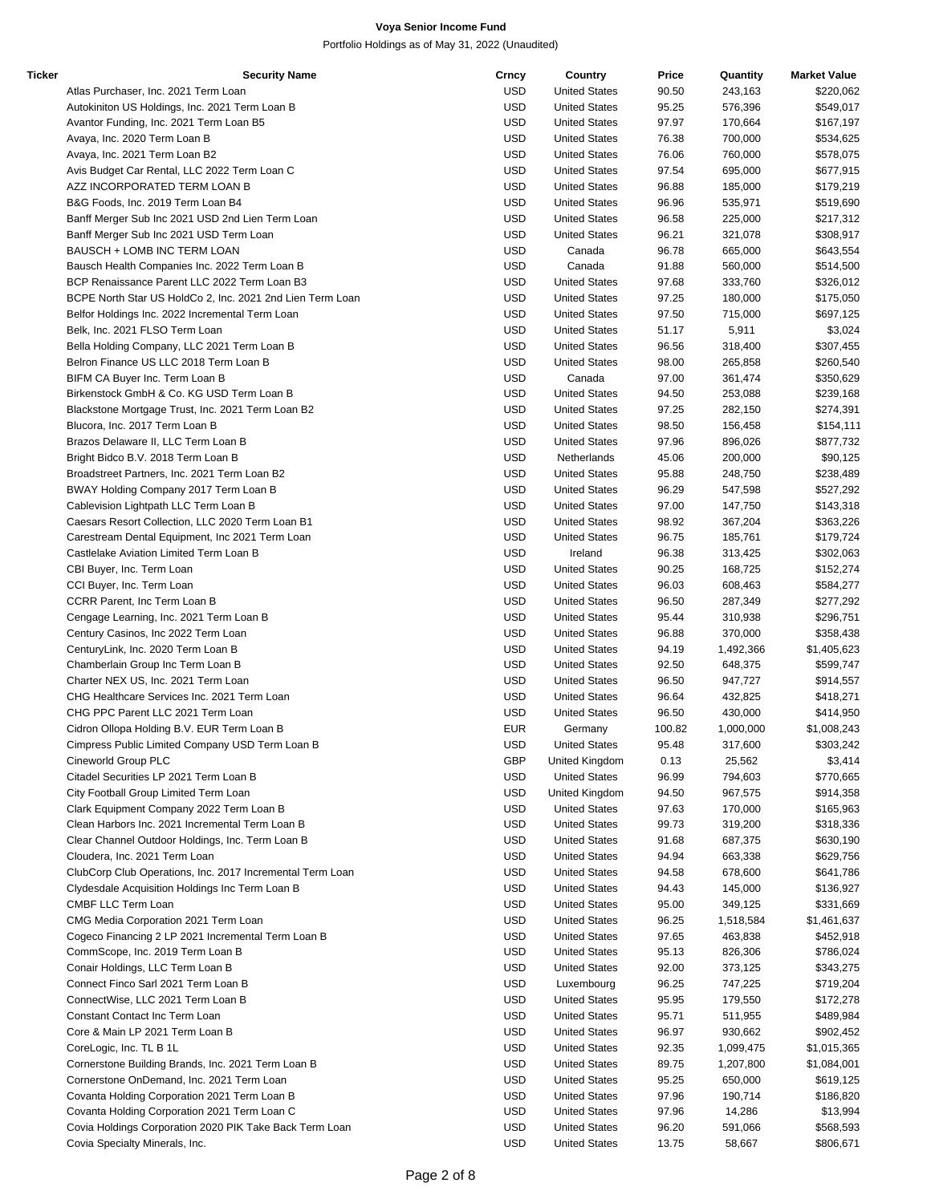| Ticker | <b>Security Name</b>                                      | Crncy      | Country              | Price  | Quantity  | <b>Market Value</b> |
|--------|-----------------------------------------------------------|------------|----------------------|--------|-----------|---------------------|
|        | Atlas Purchaser, Inc. 2021 Term Loan                      | <b>USD</b> | <b>United States</b> | 90.50  | 243,163   | \$220,062           |
|        | Autokiniton US Holdings, Inc. 2021 Term Loan B            | <b>USD</b> | <b>United States</b> | 95.25  | 576,396   | \$549,017           |
|        | Avantor Funding, Inc. 2021 Term Loan B5                   | <b>USD</b> | <b>United States</b> | 97.97  | 170,664   | \$167,197           |
|        | Avaya, Inc. 2020 Term Loan B                              | <b>USD</b> | <b>United States</b> | 76.38  | 700,000   | \$534,625           |
|        | Avaya, Inc. 2021 Term Loan B2                             | <b>USD</b> | <b>United States</b> | 76.06  | 760,000   | \$578,075           |
|        | Avis Budget Car Rental, LLC 2022 Term Loan C              | <b>USD</b> | <b>United States</b> | 97.54  | 695,000   | \$677,915           |
|        | AZZ INCORPORATED TERM LOAN B                              | <b>USD</b> | <b>United States</b> | 96.88  | 185,000   | \$179,219           |
|        | B&G Foods, Inc. 2019 Term Loan B4                         | <b>USD</b> | <b>United States</b> | 96.96  | 535,971   | \$519,690           |
|        | Banff Merger Sub Inc 2021 USD 2nd Lien Term Loan          | <b>USD</b> | <b>United States</b> | 96.58  | 225,000   | \$217,312           |
|        | Banff Merger Sub Inc 2021 USD Term Loan                   | <b>USD</b> | <b>United States</b> | 96.21  | 321,078   | \$308,917           |
|        | BAUSCH + LOMB INC TERM LOAN                               | <b>USD</b> | Canada               | 96.78  | 665,000   | \$643,554           |
|        | Bausch Health Companies Inc. 2022 Term Loan B             | <b>USD</b> | Canada               | 91.88  | 560,000   | \$514,500           |
|        | BCP Renaissance Parent LLC 2022 Term Loan B3              | <b>USD</b> | <b>United States</b> | 97.68  | 333,760   | \$326,012           |
|        | BCPE North Star US HoldCo 2, Inc. 2021 2nd Lien Term Loan | <b>USD</b> | <b>United States</b> | 97.25  | 180,000   | \$175,050           |
|        | Belfor Holdings Inc. 2022 Incremental Term Loan           | <b>USD</b> | <b>United States</b> | 97.50  | 715,000   | \$697,125           |
|        | Belk, Inc. 2021 FLSO Term Loan                            | <b>USD</b> | <b>United States</b> | 51.17  | 5,911     | \$3,024             |
|        | Bella Holding Company, LLC 2021 Term Loan B               | <b>USD</b> | <b>United States</b> | 96.56  | 318,400   | \$307,455           |
|        | Belron Finance US LLC 2018 Term Loan B                    | <b>USD</b> | <b>United States</b> | 98.00  | 265,858   | \$260,540           |
|        | BIFM CA Buyer Inc. Term Loan B                            | <b>USD</b> | Canada               | 97.00  | 361,474   | \$350,629           |
|        | Birkenstock GmbH & Co. KG USD Term Loan B                 | <b>USD</b> | <b>United States</b> | 94.50  | 253,088   | \$239,168           |
|        | Blackstone Mortgage Trust, Inc. 2021 Term Loan B2         | <b>USD</b> | <b>United States</b> | 97.25  | 282,150   | \$274,391           |
|        | Blucora, Inc. 2017 Term Loan B                            | <b>USD</b> | <b>United States</b> | 98.50  | 156,458   | \$154,111           |
|        | Brazos Delaware II, LLC Term Loan B                       | <b>USD</b> | <b>United States</b> | 97.96  | 896,026   | \$877,732           |
|        | Bright Bidco B.V. 2018 Term Loan B                        | <b>USD</b> | Netherlands          | 45.06  | 200,000   | \$90,125            |
|        | Broadstreet Partners, Inc. 2021 Term Loan B2              | <b>USD</b> | <b>United States</b> | 95.88  | 248,750   | \$238,489           |
|        | BWAY Holding Company 2017 Term Loan B                     | <b>USD</b> | <b>United States</b> | 96.29  | 547,598   | \$527,292           |
|        | Cablevision Lightpath LLC Term Loan B                     | <b>USD</b> | <b>United States</b> | 97.00  | 147,750   | \$143,318           |
|        | Caesars Resort Collection, LLC 2020 Term Loan B1          | <b>USD</b> | <b>United States</b> | 98.92  | 367,204   | \$363,226           |
|        | Carestream Dental Equipment, Inc 2021 Term Loan           | <b>USD</b> | <b>United States</b> | 96.75  | 185,761   | \$179,724           |
|        | Castlelake Aviation Limited Term Loan B                   | <b>USD</b> | Ireland              | 96.38  | 313,425   |                     |
|        |                                                           |            |                      |        |           | \$302,063           |
|        | CBI Buyer, Inc. Term Loan                                 | <b>USD</b> | <b>United States</b> | 90.25  | 168,725   | \$152,274           |
|        | CCI Buyer, Inc. Term Loan                                 | <b>USD</b> | <b>United States</b> | 96.03  | 608,463   | \$584,277           |
|        | CCRR Parent, Inc Term Loan B                              | <b>USD</b> | <b>United States</b> | 96.50  | 287,349   | \$277,292           |
|        | Cengage Learning, Inc. 2021 Term Loan B                   | <b>USD</b> | <b>United States</b> | 95.44  | 310,938   | \$296,751           |
|        | Century Casinos, Inc 2022 Term Loan                       | <b>USD</b> | <b>United States</b> | 96.88  | 370,000   | \$358,438           |
|        | CenturyLink, Inc. 2020 Term Loan B                        | <b>USD</b> | <b>United States</b> | 94.19  | 1,492,366 | \$1,405,623         |
|        | Chamberlain Group Inc Term Loan B                         | <b>USD</b> | <b>United States</b> | 92.50  | 648,375   | \$599,747           |
|        | Charter NEX US, Inc. 2021 Term Loan                       | <b>USD</b> | <b>United States</b> | 96.50  | 947,727   | \$914,557           |
|        | CHG Healthcare Services Inc. 2021 Term Loan               | <b>USD</b> | <b>United States</b> | 96.64  | 432,825   | \$418,271           |
|        | CHG PPC Parent LLC 2021 Term Loan                         | <b>USD</b> | <b>United States</b> | 96.50  | 430,000   | \$414,950           |
|        | Cidron Ollopa Holding B.V. EUR Term Loan B                | <b>EUR</b> | Germany              | 100.82 | 1,000,000 | \$1,008,243         |
|        | Cimpress Public Limited Company USD Term Loan B           | <b>USD</b> | <b>United States</b> | 95.48  | 317,600   | \$303,242           |
|        | Cineworld Group PLC                                       | <b>GBP</b> | United Kingdom       | 0.13   | 25,562    | \$3,414             |
|        | Citadel Securities LP 2021 Term Loan B                    | <b>USD</b> | <b>United States</b> | 96.99  | 794,603   | \$770,665           |
|        | City Football Group Limited Term Loan                     | <b>USD</b> | United Kingdom       | 94.50  | 967,575   | \$914,358           |
|        | Clark Equipment Company 2022 Term Loan B                  | <b>USD</b> | <b>United States</b> | 97.63  | 170,000   | \$165,963           |
|        | Clean Harbors Inc. 2021 Incremental Term Loan B           | <b>USD</b> | <b>United States</b> | 99.73  | 319,200   | \$318,336           |
|        | Clear Channel Outdoor Holdings, Inc. Term Loan B          | <b>USD</b> | <b>United States</b> | 91.68  | 687,375   | \$630,190           |
|        | Cloudera, Inc. 2021 Term Loan                             | <b>USD</b> | <b>United States</b> | 94.94  | 663,338   | \$629,756           |
|        | ClubCorp Club Operations, Inc. 2017 Incremental Term Loan | <b>USD</b> | <b>United States</b> | 94.58  | 678,600   | \$641,786           |
|        | Clydesdale Acquisition Holdings Inc Term Loan B           | <b>USD</b> | <b>United States</b> | 94.43  | 145,000   | \$136,927           |
|        | CMBF LLC Term Loan                                        | <b>USD</b> | <b>United States</b> | 95.00  | 349,125   | \$331,669           |
|        | CMG Media Corporation 2021 Term Loan                      | <b>USD</b> | <b>United States</b> | 96.25  | 1,518,584 | \$1,461,637         |
|        | Cogeco Financing 2 LP 2021 Incremental Term Loan B        | <b>USD</b> | <b>United States</b> | 97.65  | 463,838   | \$452,918           |
|        | CommScope, Inc. 2019 Term Loan B                          | <b>USD</b> | <b>United States</b> | 95.13  | 826,306   | \$786,024           |
|        | Conair Holdings, LLC Term Loan B                          | <b>USD</b> | <b>United States</b> | 92.00  | 373,125   | \$343,275           |
|        | Connect Finco Sarl 2021 Term Loan B                       | <b>USD</b> | Luxembourg           | 96.25  | 747,225   | \$719,204           |
|        | ConnectWise, LLC 2021 Term Loan B                         | <b>USD</b> | <b>United States</b> | 95.95  | 179,550   | \$172,278           |
|        | Constant Contact Inc Term Loan                            | <b>USD</b> | <b>United States</b> | 95.71  | 511,955   | \$489,984           |
|        | Core & Main LP 2021 Term Loan B                           | <b>USD</b> | <b>United States</b> | 96.97  | 930,662   | \$902,452           |
|        | CoreLogic, Inc. TL B 1L                                   | <b>USD</b> | <b>United States</b> | 92.35  | 1,099,475 | \$1,015,365         |
|        | Cornerstone Building Brands, Inc. 2021 Term Loan B        | <b>USD</b> | <b>United States</b> | 89.75  | 1,207,800 | \$1,084,001         |
|        | Cornerstone OnDemand, Inc. 2021 Term Loan                 | <b>USD</b> | <b>United States</b> | 95.25  | 650,000   | \$619,125           |
|        | Covanta Holding Corporation 2021 Term Loan B              | <b>USD</b> | <b>United States</b> | 97.96  | 190,714   | \$186,820           |
|        |                                                           | <b>USD</b> | <b>United States</b> | 97.96  | 14,286    | \$13,994            |
|        | Covanta Holding Corporation 2021 Term Loan C              |            |                      |        |           |                     |
|        | Covia Holdings Corporation 2020 PIK Take Back Term Loan   | <b>USD</b> | <b>United States</b> | 96.20  | 591,066   | \$568,593           |
|        | Covia Specialty Minerals, Inc.                            | <b>USD</b> | <b>United States</b> | 13.75  | 58,667    | \$806,671           |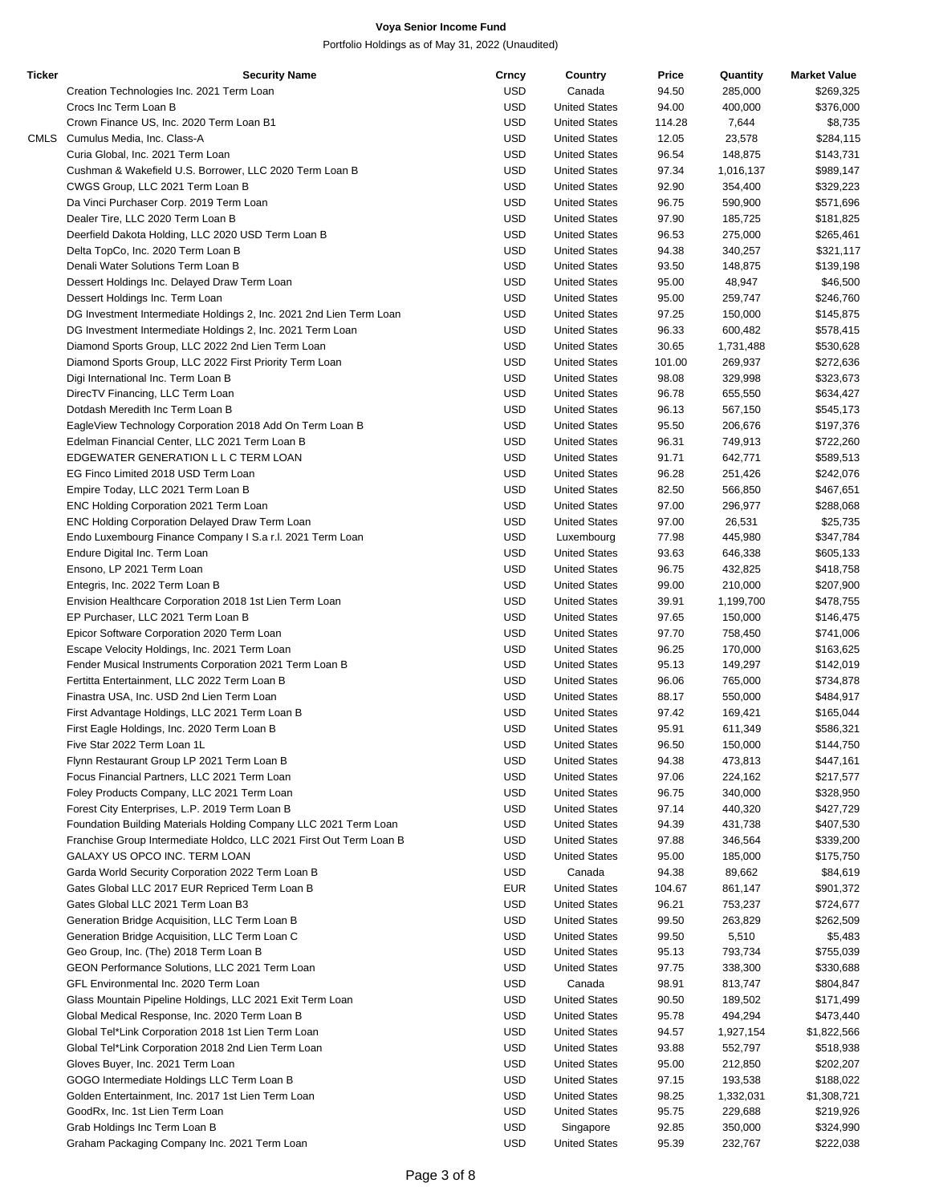| <b>Ticker</b> | <b>Security Name</b>                                                | Crncy      | Country              | Price  | Quantity  | <b>Market Value</b> |
|---------------|---------------------------------------------------------------------|------------|----------------------|--------|-----------|---------------------|
|               | Creation Technologies Inc. 2021 Term Loan                           | <b>USD</b> | Canada               | 94.50  | 285,000   | \$269,325           |
|               | Crocs Inc Term Loan B                                               | USD        | <b>United States</b> | 94.00  | 400,000   | \$376,000           |
|               | Crown Finance US, Inc. 2020 Term Loan B1                            | USD        | <b>United States</b> | 114.28 | 7,644     | \$8,735             |
|               | CMLS Cumulus Media, Inc. Class-A                                    | USD        | <b>United States</b> | 12.05  | 23,578    | \$284,115           |
|               | Curia Global, Inc. 2021 Term Loan                                   | <b>USD</b> | <b>United States</b> | 96.54  | 148,875   | \$143,731           |
|               | Cushman & Wakefield U.S. Borrower, LLC 2020 Term Loan B             | USD        | <b>United States</b> | 97.34  | 1,016,137 | \$989,147           |
|               | CWGS Group, LLC 2021 Term Loan B                                    | USD        | <b>United States</b> | 92.90  | 354,400   | \$329,223           |
|               | Da Vinci Purchaser Corp. 2019 Term Loan                             | USD        | <b>United States</b> | 96.75  | 590,900   | \$571,696           |
|               |                                                                     | <b>USD</b> | <b>United States</b> |        | 185,725   |                     |
|               | Dealer Tire, LLC 2020 Term Loan B                                   |            |                      | 97.90  |           | \$181,825           |
|               | Deerfield Dakota Holding, LLC 2020 USD Term Loan B                  | USD        | <b>United States</b> | 96.53  | 275,000   | \$265,461           |
|               | Delta TopCo, Inc. 2020 Term Loan B                                  | USD        | <b>United States</b> | 94.38  | 340,257   | \$321,117           |
|               | Denali Water Solutions Term Loan B                                  | USD        | <b>United States</b> | 93.50  | 148,875   | \$139,198           |
|               | Dessert Holdings Inc. Delayed Draw Term Loan                        | <b>USD</b> | <b>United States</b> | 95.00  | 48,947    | \$46,500            |
|               | Dessert Holdings Inc. Term Loan                                     | USD        | <b>United States</b> | 95.00  | 259,747   | \$246,760           |
|               | DG Investment Intermediate Holdings 2, Inc. 2021 2nd Lien Term Loan | USD        | <b>United States</b> | 97.25  | 150,000   | \$145,875           |
|               | DG Investment Intermediate Holdings 2, Inc. 2021 Term Loan          | USD        | <b>United States</b> | 96.33  | 600,482   | \$578,415           |
|               | Diamond Sports Group, LLC 2022 2nd Lien Term Loan                   | <b>USD</b> | <b>United States</b> | 30.65  | 1,731,488 | \$530,628           |
|               | Diamond Sports Group, LLC 2022 First Priority Term Loan             | USD        | <b>United States</b> | 101.00 | 269,937   | \$272,636           |
|               | Digi International Inc. Term Loan B                                 | USD        | <b>United States</b> | 98.08  | 329,998   | \$323,673           |
|               | DirecTV Financing, LLC Term Loan                                    | USD        | <b>United States</b> | 96.78  | 655,550   | \$634,427           |
|               | Dotdash Meredith Inc Term Loan B                                    | <b>USD</b> | <b>United States</b> | 96.13  | 567,150   | \$545,173           |
|               | EagleView Technology Corporation 2018 Add On Term Loan B            | USD        | <b>United States</b> | 95.50  | 206,676   | \$197,376           |
|               | Edelman Financial Center, LLC 2021 Term Loan B                      | USD        | <b>United States</b> | 96.31  | 749,913   | \$722,260           |
|               |                                                                     |            |                      |        |           |                     |
|               | EDGEWATER GENERATION L L C TERM LOAN                                | USD        | <b>United States</b> | 91.71  | 642,771   | \$589,513           |
|               | EG Finco Limited 2018 USD Term Loan                                 | <b>USD</b> | <b>United States</b> | 96.28  | 251,426   | \$242,076           |
|               | Empire Today, LLC 2021 Term Loan B                                  | USD        | <b>United States</b> | 82.50  | 566,850   | \$467,651           |
|               | ENC Holding Corporation 2021 Term Loan                              | USD        | <b>United States</b> | 97.00  | 296,977   | \$288,068           |
|               | ENC Holding Corporation Delayed Draw Term Loan                      | USD        | <b>United States</b> | 97.00  | 26,531    | \$25,735            |
|               | Endo Luxembourg Finance Company I S.a r.l. 2021 Term Loan           | USD        | Luxembourg           | 77.98  | 445,980   | \$347,784           |
|               | Endure Digital Inc. Term Loan                                       | USD        | <b>United States</b> | 93.63  | 646,338   | \$605,133           |
|               | Ensono, LP 2021 Term Loan                                           | USD        | <b>United States</b> | 96.75  | 432,825   | \$418,758           |
|               | Entegris, Inc. 2022 Term Loan B                                     | USD        | <b>United States</b> | 99.00  | 210,000   | \$207,900           |
|               | Envision Healthcare Corporation 2018 1st Lien Term Loan             | <b>USD</b> | <b>United States</b> | 39.91  | 1,199,700 | \$478,755           |
|               | EP Purchaser, LLC 2021 Term Loan B                                  | USD        | <b>United States</b> | 97.65  | 150,000   | \$146,475           |
|               | Epicor Software Corporation 2020 Term Loan                          | USD        | <b>United States</b> | 97.70  | 758,450   | \$741,006           |
|               | Escape Velocity Holdings, Inc. 2021 Term Loan                       | USD        | <b>United States</b> | 96.25  | 170,000   | \$163,625           |
|               |                                                                     | <b>USD</b> | <b>United States</b> | 95.13  | 149,297   |                     |
|               | Fender Musical Instruments Corporation 2021 Term Loan B             |            |                      |        |           | \$142,019           |
|               | Fertitta Entertainment, LLC 2022 Term Loan B                        | USD        | <b>United States</b> | 96.06  | 765,000   | \$734,878           |
|               | Finastra USA, Inc. USD 2nd Lien Term Loan                           | USD        | <b>United States</b> | 88.17  | 550,000   | \$484,917           |
|               | First Advantage Holdings, LLC 2021 Term Loan B                      | USD        | <b>United States</b> | 97.42  | 169,421   | \$165,044           |
|               | First Eagle Holdings, Inc. 2020 Term Loan B                         | <b>USD</b> | <b>United States</b> | 95.91  | 611,349   | \$586,321           |
|               | Five Star 2022 Term Loan 1L                                         | <b>USD</b> | <b>United States</b> | 96.50  | 150,000   | \$144,750           |
|               | Flynn Restaurant Group LP 2021 Term Loan B                          | USD        | <b>United States</b> | 94.38  | 473,813   | \$447,161           |
|               | Focus Financial Partners, LLC 2021 Term Loan                        | USD        | <b>United States</b> | 97.06  | 224,162   | \$217,577           |
|               | Foley Products Company, LLC 2021 Term Loan                          | USD        | <b>United States</b> | 96.75  | 340,000   | \$328,950           |
|               | Forest City Enterprises, L.P. 2019 Term Loan B                      | USD        | <b>United States</b> | 97.14  | 440,320   | \$427,729           |
|               | Foundation Building Materials Holding Company LLC 2021 Term Loan    | USD        | <b>United States</b> | 94.39  | 431,738   | \$407,530           |
|               | Franchise Group Intermediate Holdco, LLC 2021 First Out Term Loan B | USD        | <b>United States</b> | 97.88  | 346,564   | \$339,200           |
|               | GALAXY US OPCO INC. TERM LOAN                                       | USD        | <b>United States</b> | 95.00  | 185,000   | \$175,750           |
|               |                                                                     | USD        | Canada               |        | 89,662    |                     |
|               | Garda World Security Corporation 2022 Term Loan B                   |            |                      | 94.38  |           | \$84,619            |
|               | Gates Global LLC 2017 EUR Repriced Term Loan B                      | EUR        | <b>United States</b> | 104.67 | 861,147   | \$901,372           |
|               | Gates Global LLC 2021 Term Loan B3                                  | USD        | <b>United States</b> | 96.21  | 753,237   | \$724,677           |
|               | Generation Bridge Acquisition, LLC Term Loan B                      | <b>USD</b> | <b>United States</b> | 99.50  | 263,829   | \$262,509           |
|               | Generation Bridge Acquisition, LLC Term Loan C                      | USD        | <b>United States</b> | 99.50  | 5,510     | \$5,483             |
|               | Geo Group, Inc. (The) 2018 Term Loan B                              | USD        | <b>United States</b> | 95.13  | 793,734   | \$755,039           |
|               | GEON Performance Solutions, LLC 2021 Term Loan                      | USD        | <b>United States</b> | 97.75  | 338,300   | \$330,688           |
|               | GFL Environmental Inc. 2020 Term Loan                               | USD        | Canada               | 98.91  | 813,747   | \$804,847           |
|               | Glass Mountain Pipeline Holdings, LLC 2021 Exit Term Loan           | USD        | <b>United States</b> | 90.50  | 189,502   | \$171,499           |
|               | Global Medical Response, Inc. 2020 Term Loan B                      | USD        | <b>United States</b> | 95.78  | 494,294   | \$473,440           |
|               | Global Tel*Link Corporation 2018 1st Lien Term Loan                 | USD        | <b>United States</b> | 94.57  | 1,927,154 | \$1,822,566         |
|               | Global Tel*Link Corporation 2018 2nd Lien Term Loan                 | <b>USD</b> | <b>United States</b> | 93.88  | 552,797   | \$518,938           |
|               | Gloves Buyer, Inc. 2021 Term Loan                                   | USD        | <b>United States</b> | 95.00  | 212,850   | \$202,207           |
|               |                                                                     |            |                      |        |           |                     |
|               | GOGO Intermediate Holdings LLC Term Loan B                          | USD        | <b>United States</b> | 97.15  | 193,538   | \$188,022           |
|               | Golden Entertainment, Inc. 2017 1st Lien Term Loan                  | USD        | <b>United States</b> | 98.25  | 1,332,031 | \$1,308,721         |
|               | GoodRx, Inc. 1st Lien Term Loan                                     | USD        | <b>United States</b> | 95.75  | 229,688   | \$219,926           |
|               | Grab Holdings Inc Term Loan B                                       | USD        | Singapore            | 92.85  | 350,000   | \$324,990           |
|               | Graham Packaging Company Inc. 2021 Term Loan                        | <b>USD</b> | <b>United States</b> | 95.39  | 232,767   | \$222,038           |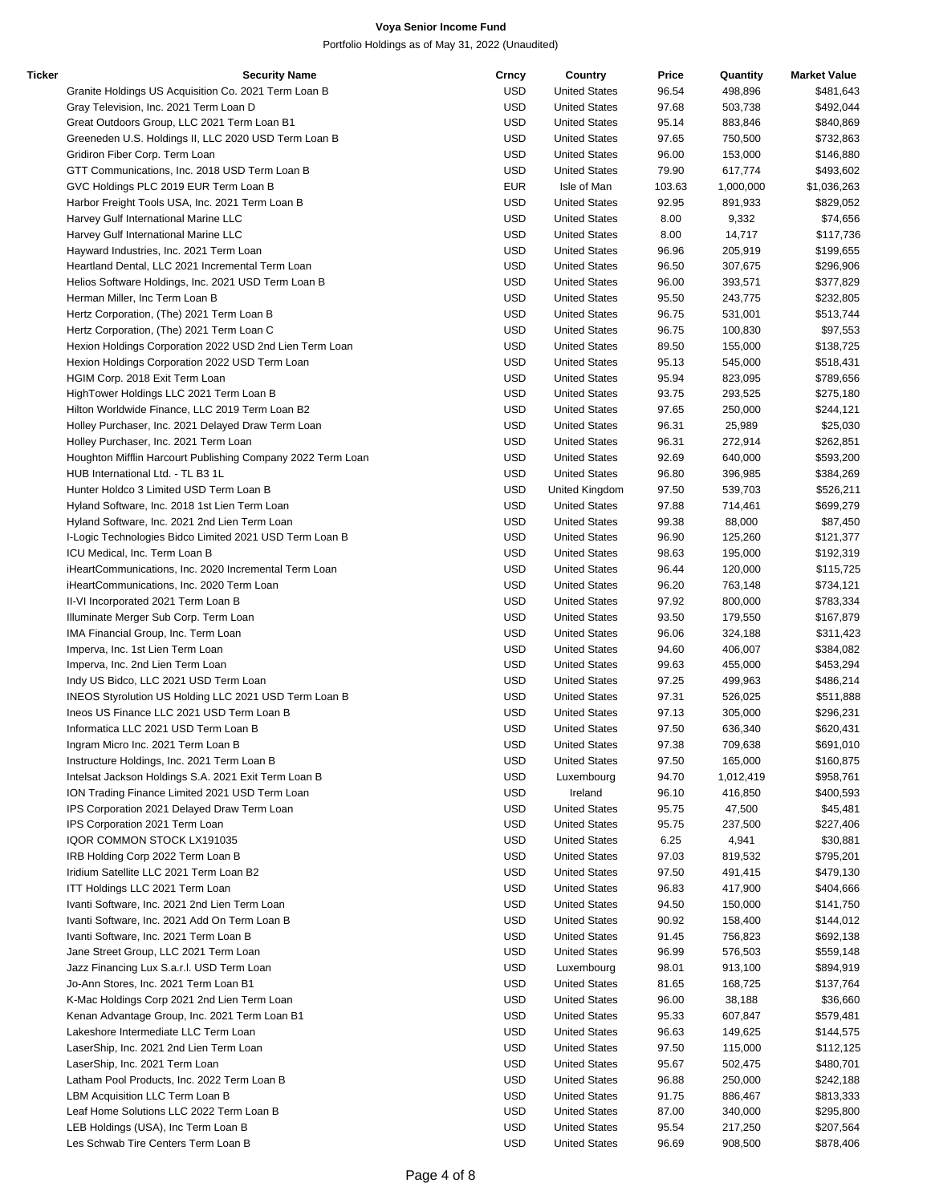| Ticker | <b>Security Name</b>                                        | Crncy      | Country              | Price  | Quantity  | <b>Market Value</b> |
|--------|-------------------------------------------------------------|------------|----------------------|--------|-----------|---------------------|
|        | Granite Holdings US Acquisition Co. 2021 Term Loan B        | <b>USD</b> | <b>United States</b> | 96.54  | 498,896   | \$481,643           |
|        | Gray Television, Inc. 2021 Term Loan D                      | <b>USD</b> | <b>United States</b> | 97.68  | 503,738   | \$492,044           |
|        | Great Outdoors Group, LLC 2021 Term Loan B1                 | <b>USD</b> | <b>United States</b> | 95.14  | 883,846   | \$840,869           |
|        | Greeneden U.S. Holdings II, LLC 2020 USD Term Loan B        | <b>USD</b> | <b>United States</b> | 97.65  | 750,500   | \$732,863           |
|        | Gridiron Fiber Corp. Term Loan                              | <b>USD</b> | <b>United States</b> | 96.00  | 153,000   | \$146,880           |
|        | GTT Communications, Inc. 2018 USD Term Loan B               | <b>USD</b> | <b>United States</b> | 79.90  | 617,774   | \$493,602           |
|        | GVC Holdings PLC 2019 EUR Term Loan B                       | <b>EUR</b> | Isle of Man          | 103.63 | 1,000,000 | \$1,036,263         |
|        | Harbor Freight Tools USA, Inc. 2021 Term Loan B             | <b>USD</b> | <b>United States</b> | 92.95  | 891,933   | \$829,052           |
|        | Harvey Gulf International Marine LLC                        | <b>USD</b> | <b>United States</b> | 8.00   | 9,332     | \$74,656            |
|        |                                                             | <b>USD</b> |                      |        |           |                     |
|        | Harvey Gulf International Marine LLC                        |            | <b>United States</b> | 8.00   | 14,717    | \$117,736           |
|        | Hayward Industries, Inc. 2021 Term Loan                     | <b>USD</b> | <b>United States</b> | 96.96  | 205,919   | \$199,655           |
|        | Heartland Dental, LLC 2021 Incremental Term Loan            | <b>USD</b> | <b>United States</b> | 96.50  | 307,675   | \$296,906           |
|        | Helios Software Holdings, Inc. 2021 USD Term Loan B         | <b>USD</b> | <b>United States</b> | 96.00  | 393,571   | \$377,829           |
|        | Herman Miller, Inc Term Loan B                              | <b>USD</b> | <b>United States</b> | 95.50  | 243,775   | \$232,805           |
|        | Hertz Corporation, (The) 2021 Term Loan B                   | <b>USD</b> | <b>United States</b> | 96.75  | 531,001   | \$513,744           |
|        | Hertz Corporation, (The) 2021 Term Loan C                   | <b>USD</b> | <b>United States</b> | 96.75  | 100,830   | \$97,553            |
|        | Hexion Holdings Corporation 2022 USD 2nd Lien Term Loan     | <b>USD</b> | <b>United States</b> | 89.50  | 155,000   | \$138,725           |
|        | Hexion Holdings Corporation 2022 USD Term Loan              | <b>USD</b> | <b>United States</b> | 95.13  | 545,000   | \$518,431           |
|        | HGIM Corp. 2018 Exit Term Loan                              | <b>USD</b> | <b>United States</b> | 95.94  | 823,095   | \$789,656           |
|        | HighTower Holdings LLC 2021 Term Loan B                     | <b>USD</b> | <b>United States</b> | 93.75  | 293,525   | \$275,180           |
|        | Hilton Worldwide Finance, LLC 2019 Term Loan B2             | <b>USD</b> | <b>United States</b> | 97.65  | 250,000   | \$244,121           |
|        | Holley Purchaser, Inc. 2021 Delayed Draw Term Loan          | <b>USD</b> | <b>United States</b> | 96.31  | 25,989    | \$25,030            |
|        | Holley Purchaser, Inc. 2021 Term Loan                       | <b>USD</b> | <b>United States</b> | 96.31  | 272,914   | \$262,851           |
|        | Houghton Mifflin Harcourt Publishing Company 2022 Term Loan | <b>USD</b> | <b>United States</b> | 92.69  | 640,000   | \$593,200           |
|        | HUB International Ltd. - TL B3 1L                           | <b>USD</b> | <b>United States</b> | 96.80  | 396,985   |                     |
|        |                                                             |            |                      |        |           | \$384,269           |
|        | Hunter Holdco 3 Limited USD Term Loan B                     | <b>USD</b> | United Kingdom       | 97.50  | 539,703   | \$526,211           |
|        | Hyland Software, Inc. 2018 1st Lien Term Loan               | <b>USD</b> | <b>United States</b> | 97.88  | 714,461   | \$699,279           |
|        | Hyland Software, Inc. 2021 2nd Lien Term Loan               | <b>USD</b> | <b>United States</b> | 99.38  | 88,000    | \$87,450            |
|        | I-Logic Technologies Bidco Limited 2021 USD Term Loan B     | <b>USD</b> | <b>United States</b> | 96.90  | 125,260   | \$121,377           |
|        | ICU Medical, Inc. Term Loan B                               | <b>USD</b> | <b>United States</b> | 98.63  | 195,000   | \$192,319           |
|        | iHeartCommunications, Inc. 2020 Incremental Term Loan       | <b>USD</b> | <b>United States</b> | 96.44  | 120,000   | \$115,725           |
|        | iHeartCommunications, Inc. 2020 Term Loan                   | <b>USD</b> | <b>United States</b> | 96.20  | 763,148   | \$734,121           |
|        | II-VI Incorporated 2021 Term Loan B                         | <b>USD</b> | <b>United States</b> | 97.92  | 800,000   | \$783,334           |
|        | Illuminate Merger Sub Corp. Term Loan                       | <b>USD</b> | <b>United States</b> | 93.50  | 179,550   | \$167,879           |
|        | IMA Financial Group, Inc. Term Loan                         | <b>USD</b> | <b>United States</b> | 96.06  | 324,188   | \$311,423           |
|        | Imperva, Inc. 1st Lien Term Loan                            | <b>USD</b> | <b>United States</b> | 94.60  | 406,007   | \$384,082           |
|        | Imperva, Inc. 2nd Lien Term Loan                            | <b>USD</b> | <b>United States</b> | 99.63  | 455,000   | \$453,294           |
|        | Indy US Bidco, LLC 2021 USD Term Loan                       | <b>USD</b> | <b>United States</b> | 97.25  | 499,963   | \$486,214           |
|        | INEOS Styrolution US Holding LLC 2021 USD Term Loan B       | <b>USD</b> | <b>United States</b> | 97.31  | 526,025   | \$511,888           |
|        | Ineos US Finance LLC 2021 USD Term Loan B                   | <b>USD</b> | <b>United States</b> | 97.13  | 305,000   | \$296,231           |
|        | Informatica LLC 2021 USD Term Loan B                        | <b>USD</b> | <b>United States</b> | 97.50  | 636,340   | \$620,431           |
|        |                                                             |            | <b>United States</b> |        |           |                     |
|        | Ingram Micro Inc. 2021 Term Loan B                          | <b>USD</b> |                      | 97.38  | 709,638   | \$691,010           |
|        | Instructure Holdings, Inc. 2021 Term Loan B                 | <b>USD</b> | <b>United States</b> | 97.50  | 165,000   | \$160,875           |
|        | Intelsat Jackson Holdings S.A. 2021 Exit Term Loan B        | <b>USD</b> | Luxembourg           | 94.70  | 1,012,419 | \$958,761           |
|        | ION Trading Finance Limited 2021 USD Term Loan              | <b>USD</b> | Ireland              | 96.10  | 416,850   | \$400,593           |
|        | IPS Corporation 2021 Delayed Draw Term Loan                 | <b>USD</b> | <b>United States</b> | 95.75  | 47,500    | \$45,481            |
|        | IPS Corporation 2021 Term Loan                              | <b>USD</b> | <b>United States</b> | 95.75  | 237,500   | \$227,406           |
|        | IQOR COMMON STOCK LX191035                                  | <b>USD</b> | <b>United States</b> | 6.25   | 4,941     | \$30,881            |
|        | IRB Holding Corp 2022 Term Loan B                           | <b>USD</b> | <b>United States</b> | 97.03  | 819,532   | \$795,201           |
|        | Iridium Satellite LLC 2021 Term Loan B2                     | <b>USD</b> | <b>United States</b> | 97.50  | 491,415   | \$479,130           |
|        | ITT Holdings LLC 2021 Term Loan                             | <b>USD</b> | <b>United States</b> | 96.83  | 417,900   | \$404,666           |
|        | Ivanti Software, Inc. 2021 2nd Lien Term Loan               | <b>USD</b> | <b>United States</b> | 94.50  | 150,000   | \$141,750           |
|        | Ivanti Software, Inc. 2021 Add On Term Loan B               | <b>USD</b> | <b>United States</b> | 90.92  | 158,400   | \$144,012           |
|        | Ivanti Software, Inc. 2021 Term Loan B                      | <b>USD</b> | <b>United States</b> | 91.45  | 756,823   | \$692,138           |
|        | Jane Street Group, LLC 2021 Term Loan                       | <b>USD</b> | <b>United States</b> | 96.99  | 576,503   | \$559,148           |
|        | Jazz Financing Lux S.a.r.l. USD Term Loan                   | <b>USD</b> | Luxembourg           | 98.01  | 913,100   | \$894,919           |
|        |                                                             |            |                      |        |           |                     |
|        | Jo-Ann Stores, Inc. 2021 Term Loan B1                       | <b>USD</b> | <b>United States</b> | 81.65  | 168,725   | \$137,764           |
|        | K-Mac Holdings Corp 2021 2nd Lien Term Loan                 | <b>USD</b> | <b>United States</b> | 96.00  | 38,188    | \$36,660            |
|        | Kenan Advantage Group, Inc. 2021 Term Loan B1               | <b>USD</b> | <b>United States</b> | 95.33  | 607,847   | \$579,481           |
|        | Lakeshore Intermediate LLC Term Loan                        | <b>USD</b> | <b>United States</b> | 96.63  | 149,625   | \$144,575           |
|        | LaserShip, Inc. 2021 2nd Lien Term Loan                     | <b>USD</b> | <b>United States</b> | 97.50  | 115,000   | \$112,125           |
|        | LaserShip, Inc. 2021 Term Loan                              | USD        | <b>United States</b> | 95.67  | 502,475   | \$480,701           |
|        | Latham Pool Products, Inc. 2022 Term Loan B                 | <b>USD</b> | <b>United States</b> | 96.88  | 250,000   | \$242,188           |
|        | LBM Acquisition LLC Term Loan B                             | <b>USD</b> | <b>United States</b> | 91.75  | 886,467   | \$813,333           |
|        | Leaf Home Solutions LLC 2022 Term Loan B                    | <b>USD</b> | <b>United States</b> | 87.00  | 340,000   | \$295,800           |
|        | LEB Holdings (USA), Inc Term Loan B                         | <b>USD</b> | <b>United States</b> | 95.54  | 217,250   | \$207,564           |
|        | Les Schwab Tire Centers Term Loan B                         | <b>USD</b> | <b>United States</b> | 96.69  | 908,500   | \$878,406           |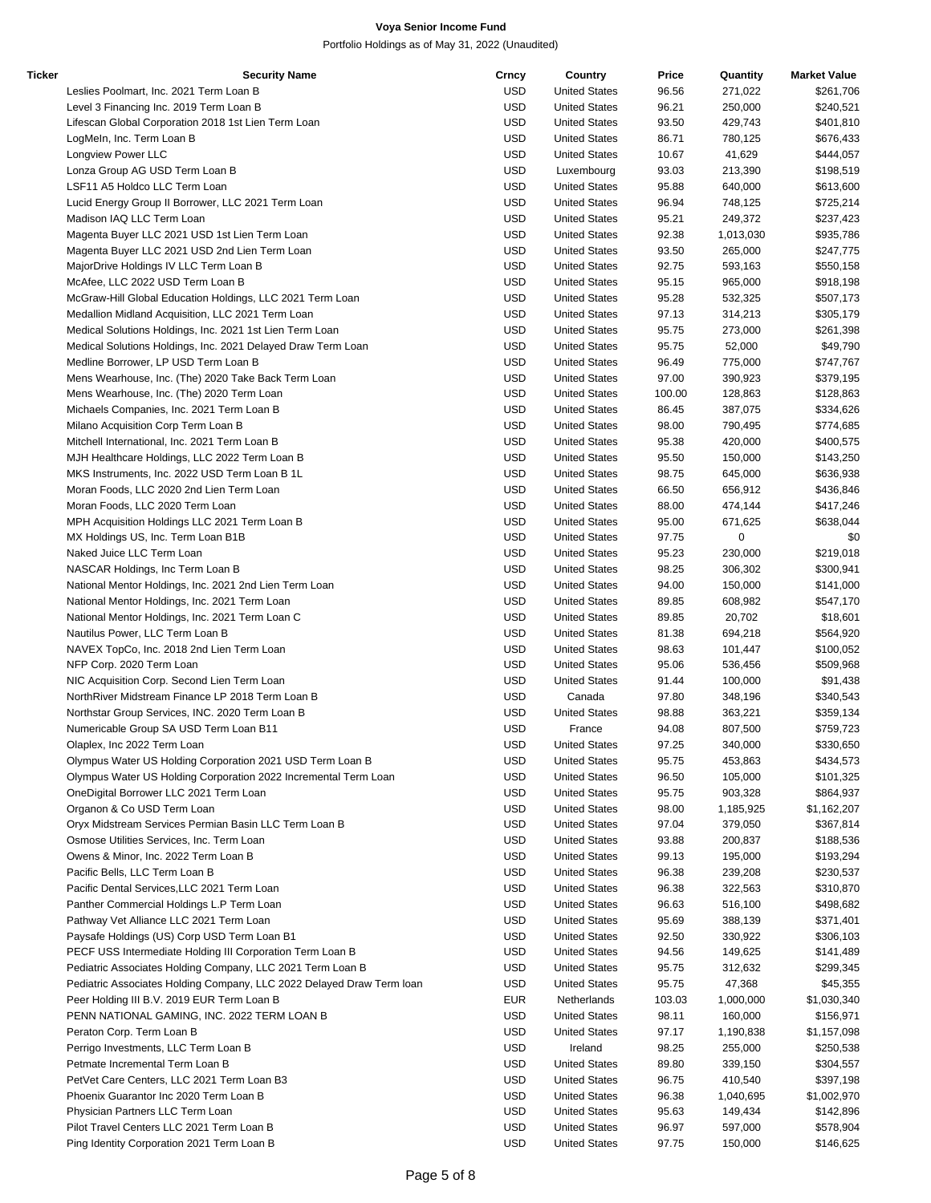| Ticker | <b>Security Name</b>                                                  | Crncy      | Country              | Price  | Quantity           | <b>Market Value</b> |
|--------|-----------------------------------------------------------------------|------------|----------------------|--------|--------------------|---------------------|
|        | Leslies Poolmart, Inc. 2021 Term Loan B                               | <b>USD</b> | <b>United States</b> | 96.56  | 271,022            | \$261,706           |
|        | Level 3 Financing Inc. 2019 Term Loan B                               | <b>USD</b> | <b>United States</b> | 96.21  | 250,000            | \$240,521           |
|        | Lifescan Global Corporation 2018 1st Lien Term Loan                   | <b>USD</b> | <b>United States</b> | 93.50  | 429,743            | \$401,810           |
|        | LogMeln, Inc. Term Loan B                                             | <b>USD</b> | <b>United States</b> | 86.71  | 780,125            | \$676,433           |
|        | Longview Power LLC                                                    | <b>USD</b> | <b>United States</b> | 10.67  | 41,629             | \$444,057           |
|        | Lonza Group AG USD Term Loan B                                        | <b>USD</b> | Luxembourg           | 93.03  | 213,390            | \$198,519           |
|        | LSF11 A5 Holdco LLC Term Loan                                         | <b>USD</b> | <b>United States</b> | 95.88  | 640,000            | \$613,600           |
|        | Lucid Energy Group II Borrower, LLC 2021 Term Loan                    | <b>USD</b> | <b>United States</b> | 96.94  | 748,125            | \$725,214           |
|        | Madison IAQ LLC Term Loan                                             | <b>USD</b> | <b>United States</b> | 95.21  | 249,372            | \$237,423           |
|        | Magenta Buyer LLC 2021 USD 1st Lien Term Loan                         | <b>USD</b> | <b>United States</b> | 92.38  | 1,013,030          | \$935,786           |
|        | Magenta Buyer LLC 2021 USD 2nd Lien Term Loan                         | <b>USD</b> | <b>United States</b> | 93.50  | 265,000            | \$247,775           |
|        | MajorDrive Holdings IV LLC Term Loan B                                | <b>USD</b> | <b>United States</b> | 92.75  | 593,163            | \$550,158           |
|        | McAfee, LLC 2022 USD Term Loan B                                      | <b>USD</b> | <b>United States</b> | 95.15  | 965,000            | \$918,198           |
|        | McGraw-Hill Global Education Holdings, LLC 2021 Term Loan             | <b>USD</b> | <b>United States</b> | 95.28  | 532,325            | \$507,173           |
|        | Medallion Midland Acquisition, LLC 2021 Term Loan                     | <b>USD</b> | <b>United States</b> | 97.13  | 314,213            | \$305,179           |
|        | Medical Solutions Holdings, Inc. 2021 1st Lien Term Loan              | <b>USD</b> | <b>United States</b> | 95.75  | 273,000            | \$261,398           |
|        | Medical Solutions Holdings, Inc. 2021 Delayed Draw Term Loan          | <b>USD</b> | <b>United States</b> | 95.75  | 52,000             | \$49,790            |
|        | Medline Borrower, LP USD Term Loan B                                  | <b>USD</b> | <b>United States</b> | 96.49  | 775,000            | \$747,767           |
|        | Mens Wearhouse, Inc. (The) 2020 Take Back Term Loan                   | <b>USD</b> | <b>United States</b> | 97.00  | 390,923            | \$379,195           |
|        | Mens Wearhouse, Inc. (The) 2020 Term Loan                             | <b>USD</b> | <b>United States</b> | 100.00 | 128,863            | \$128,863           |
|        | Michaels Companies, Inc. 2021 Term Loan B                             | <b>USD</b> | <b>United States</b> | 86.45  | 387,075            | \$334,626           |
|        | Milano Acquisition Corp Term Loan B                                   | <b>USD</b> | <b>United States</b> | 98.00  | 790,495            | \$774,685           |
|        | Mitchell International, Inc. 2021 Term Loan B                         | <b>USD</b> | <b>United States</b> | 95.38  |                    |                     |
|        |                                                                       | <b>USD</b> |                      |        | 420,000<br>150,000 | \$400,575           |
|        | MJH Healthcare Holdings, LLC 2022 Term Loan B                         |            | <b>United States</b> | 95.50  |                    | \$143,250           |
|        | MKS Instruments, Inc. 2022 USD Term Loan B 1L                         | <b>USD</b> | <b>United States</b> | 98.75  | 645,000            | \$636,938           |
|        | Moran Foods, LLC 2020 2nd Lien Term Loan                              | <b>USD</b> | <b>United States</b> | 66.50  | 656,912            | \$436,846           |
|        | Moran Foods, LLC 2020 Term Loan                                       | <b>USD</b> | <b>United States</b> | 88.00  | 474,144            | \$417,246           |
|        | MPH Acquisition Holdings LLC 2021 Term Loan B                         | <b>USD</b> | <b>United States</b> | 95.00  | 671,625            | \$638,044           |
|        | MX Holdings US, Inc. Term Loan B1B                                    | <b>USD</b> | <b>United States</b> | 97.75  | 0                  | \$0                 |
|        | Naked Juice LLC Term Loan                                             | <b>USD</b> | <b>United States</b> | 95.23  | 230,000            | \$219,018           |
|        | NASCAR Holdings, Inc Term Loan B                                      | <b>USD</b> | <b>United States</b> | 98.25  | 306,302            | \$300,941           |
|        | National Mentor Holdings, Inc. 2021 2nd Lien Term Loan                | <b>USD</b> | <b>United States</b> | 94.00  | 150,000            | \$141,000           |
|        | National Mentor Holdings, Inc. 2021 Term Loan                         | <b>USD</b> | <b>United States</b> | 89.85  | 608,982            | \$547,170           |
|        | National Mentor Holdings, Inc. 2021 Term Loan C                       | <b>USD</b> | <b>United States</b> | 89.85  | 20,702             | \$18,601            |
|        | Nautilus Power, LLC Term Loan B                                       | <b>USD</b> | <b>United States</b> | 81.38  | 694,218            | \$564,920           |
|        | NAVEX TopCo, Inc. 2018 2nd Lien Term Loan                             | <b>USD</b> | <b>United States</b> | 98.63  | 101,447            | \$100,052           |
|        | NFP Corp. 2020 Term Loan                                              | <b>USD</b> | <b>United States</b> | 95.06  | 536,456            | \$509,968           |
|        | NIC Acquisition Corp. Second Lien Term Loan                           | <b>USD</b> | <b>United States</b> | 91.44  | 100,000            | \$91,438            |
|        | NorthRiver Midstream Finance LP 2018 Term Loan B                      | <b>USD</b> | Canada               | 97.80  | 348,196            | \$340,543           |
|        | Northstar Group Services, INC. 2020 Term Loan B                       | <b>USD</b> | <b>United States</b> | 98.88  | 363,221            | \$359,134           |
|        | Numericable Group SA USD Term Loan B11                                | <b>USD</b> | France               | 94.08  | 807,500            | \$759,723           |
|        | Olaplex, Inc 2022 Term Loan                                           | USD        | <b>United States</b> | 97.25  | 340,000            | \$330,650           |
|        | Olympus Water US Holding Corporation 2021 USD Term Loan B             | <b>USD</b> | <b>United States</b> | 95.75  | 453,863            | \$434,573           |
|        | Olympus Water US Holding Corporation 2022 Incremental Term Loan       | <b>USD</b> | <b>United States</b> | 96.50  | 105,000            | \$101,325           |
|        | OneDigital Borrower LLC 2021 Term Loan                                | <b>USD</b> | <b>United States</b> | 95.75  | 903,328            | \$864,937           |
|        | Organon & Co USD Term Loan                                            | <b>USD</b> | <b>United States</b> | 98.00  | 1,185,925          | \$1,162,207         |
|        | Oryx Midstream Services Permian Basin LLC Term Loan B                 | <b>USD</b> | <b>United States</b> | 97.04  | 379,050            | \$367,814           |
|        | Osmose Utilities Services, Inc. Term Loan                             | <b>USD</b> | <b>United States</b> | 93.88  | 200,837            | \$188,536           |
|        | Owens & Minor, Inc. 2022 Term Loan B                                  | <b>USD</b> | <b>United States</b> | 99.13  | 195,000            | \$193,294           |
|        | Pacific Bells, LLC Term Loan B                                        | <b>USD</b> | <b>United States</b> | 96.38  | 239,208            | \$230,537           |
|        | Pacific Dental Services, LLC 2021 Term Loan                           | <b>USD</b> | <b>United States</b> | 96.38  | 322,563            | \$310,870           |
|        | Panther Commercial Holdings L.P Term Loan                             | <b>USD</b> | <b>United States</b> | 96.63  | 516,100            | \$498,682           |
|        | Pathway Vet Alliance LLC 2021 Term Loan                               | <b>USD</b> | <b>United States</b> | 95.69  | 388,139            | \$371,401           |
|        | Paysafe Holdings (US) Corp USD Term Loan B1                           | <b>USD</b> | <b>United States</b> | 92.50  | 330,922            | \$306,103           |
|        | PECF USS Intermediate Holding III Corporation Term Loan B             | <b>USD</b> | <b>United States</b> | 94.56  | 149,625            | \$141,489           |
|        | Pediatric Associates Holding Company, LLC 2021 Term Loan B            | <b>USD</b> | <b>United States</b> | 95.75  | 312,632            | \$299,345           |
|        | Pediatric Associates Holding Company, LLC 2022 Delayed Draw Term Ioan | <b>USD</b> | <b>United States</b> | 95.75  | 47,368             | \$45,355            |
|        | Peer Holding III B.V. 2019 EUR Term Loan B                            | <b>EUR</b> | Netherlands          | 103.03 | 1,000,000          | \$1,030,340         |
|        | PENN NATIONAL GAMING, INC. 2022 TERM LOAN B                           | <b>USD</b> | <b>United States</b> | 98.11  | 160,000            | \$156,971           |
|        | Peraton Corp. Term Loan B                                             | <b>USD</b> | <b>United States</b> | 97.17  | 1,190,838          | \$1,157,098         |
|        | Perrigo Investments, LLC Term Loan B                                  | <b>USD</b> | Ireland              | 98.25  | 255,000            | \$250,538           |
|        | Petmate Incremental Term Loan B                                       | <b>USD</b> | <b>United States</b> | 89.80  | 339,150            | \$304,557           |
|        |                                                                       |            |                      |        |                    |                     |
|        | PetVet Care Centers, LLC 2021 Term Loan B3                            | <b>USD</b> | <b>United States</b> | 96.75  | 410,540            | \$397,198           |
|        | Phoenix Guarantor Inc 2020 Term Loan B                                | <b>USD</b> | <b>United States</b> | 96.38  | 1,040,695          | \$1,002,970         |
|        | Physician Partners LLC Term Loan                                      | <b>USD</b> | <b>United States</b> | 95.63  | 149,434            | \$142,896           |
|        | Pilot Travel Centers LLC 2021 Term Loan B                             | <b>USD</b> | <b>United States</b> | 96.97  | 597,000            | \$578,904           |
|        | Ping Identity Corporation 2021 Term Loan B                            | <b>USD</b> | <b>United States</b> | 97.75  | 150,000            | \$146,625           |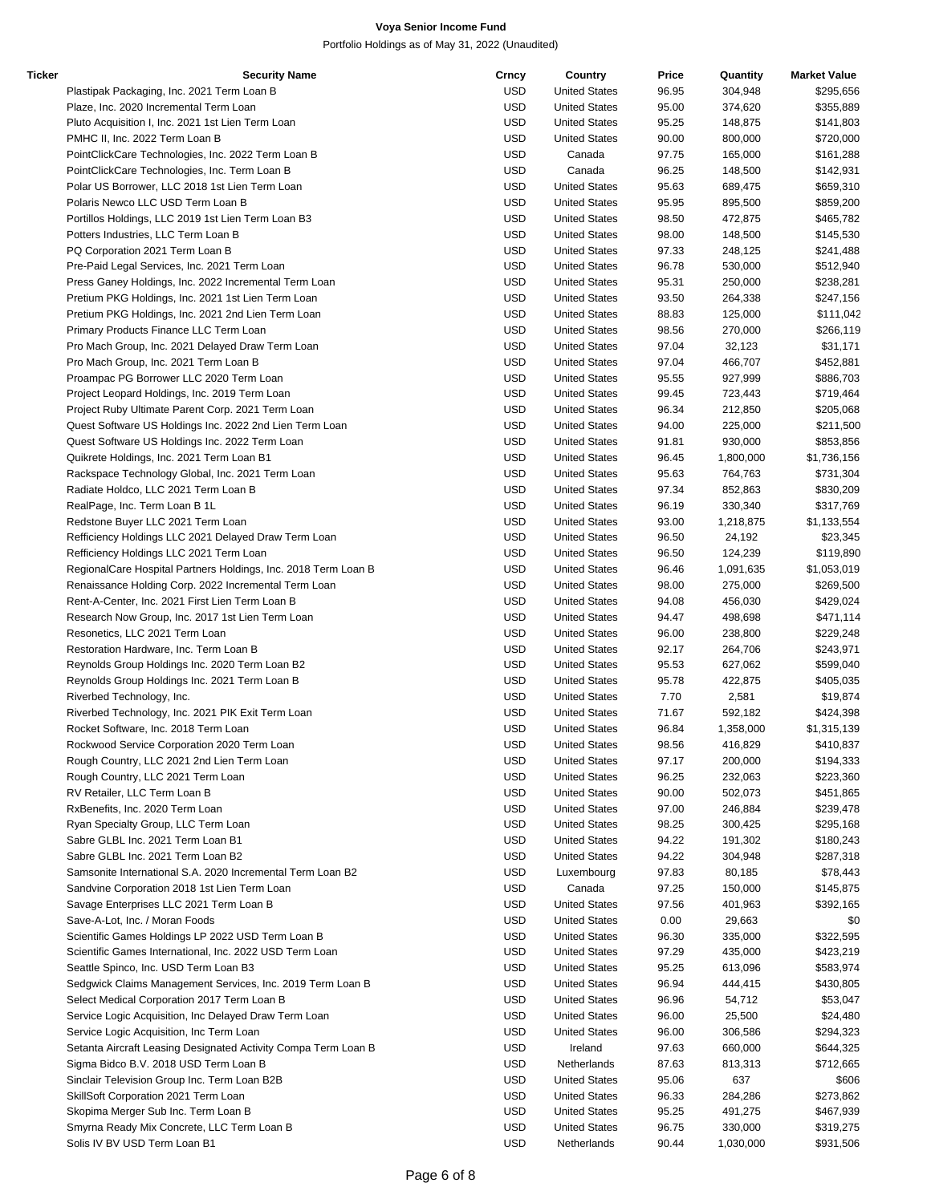| Ticker | <b>Security Name</b>                                           | Crncy      | Country              | Price | Quantity  | <b>Market Value</b> |
|--------|----------------------------------------------------------------|------------|----------------------|-------|-----------|---------------------|
|        | Plastipak Packaging, Inc. 2021 Term Loan B                     | <b>USD</b> | <b>United States</b> | 96.95 | 304,948   | \$295,656           |
|        | Plaze, Inc. 2020 Incremental Term Loan                         | USD        | <b>United States</b> | 95.00 | 374,620   | \$355,889           |
|        | Pluto Acquisition I, Inc. 2021 1st Lien Term Loan              | <b>USD</b> | <b>United States</b> | 95.25 | 148,875   | \$141,803           |
|        | PMHC II, Inc. 2022 Term Loan B                                 | <b>USD</b> | <b>United States</b> | 90.00 | 800,000   | \$720,000           |
|        | PointClickCare Technologies, Inc. 2022 Term Loan B             | <b>USD</b> | Canada               | 97.75 | 165,000   | \$161,288           |
|        | PointClickCare Technologies, Inc. Term Loan B                  | USD        | Canada               | 96.25 | 148,500   | \$142,931           |
|        | Polar US Borrower, LLC 2018 1st Lien Term Loan                 | <b>USD</b> | <b>United States</b> | 95.63 | 689,475   | \$659,310           |
|        | Polaris Newco LLC USD Term Loan B                              | <b>USD</b> | <b>United States</b> | 95.95 | 895,500   | \$859,200           |
|        | Portillos Holdings, LLC 2019 1st Lien Term Loan B3             | <b>USD</b> | <b>United States</b> | 98.50 | 472,875   | \$465,782           |
|        | Potters Industries, LLC Term Loan B                            | USD        | <b>United States</b> | 98.00 | 148,500   |                     |
|        | PQ Corporation 2021 Term Loan B                                | <b>USD</b> |                      |       |           | \$145,530           |
|        |                                                                |            | <b>United States</b> | 97.33 | 248,125   | \$241,488           |
|        | Pre-Paid Legal Services, Inc. 2021 Term Loan                   | <b>USD</b> | <b>United States</b> | 96.78 | 530,000   | \$512,940           |
|        | Press Ganey Holdings, Inc. 2022 Incremental Term Loan          | <b>USD</b> | <b>United States</b> | 95.31 | 250,000   | \$238,281           |
|        | Pretium PKG Holdings, Inc. 2021 1st Lien Term Loan             | <b>USD</b> | <b>United States</b> | 93.50 | 264,338   | \$247,156           |
|        | Pretium PKG Holdings, Inc. 2021 2nd Lien Term Loan             | <b>USD</b> | <b>United States</b> | 88.83 | 125,000   | \$111,042           |
|        | Primary Products Finance LLC Term Loan                         | <b>USD</b> | <b>United States</b> | 98.56 | 270,000   | \$266,119           |
|        | Pro Mach Group, Inc. 2021 Delayed Draw Term Loan               | <b>USD</b> | <b>United States</b> | 97.04 | 32,123    | \$31,171            |
|        | Pro Mach Group, Inc. 2021 Term Loan B                          | USD        | <b>United States</b> | 97.04 | 466,707   | \$452,881           |
|        | Proampac PG Borrower LLC 2020 Term Loan                        | <b>USD</b> | <b>United States</b> | 95.55 | 927,999   | \$886,703           |
|        | Project Leopard Holdings, Inc. 2019 Term Loan                  | <b>USD</b> | <b>United States</b> | 99.45 | 723,443   | \$719,464           |
|        | Project Ruby Ultimate Parent Corp. 2021 Term Loan              | <b>USD</b> | <b>United States</b> | 96.34 | 212,850   | \$205,068           |
|        | Quest Software US Holdings Inc. 2022 2nd Lien Term Loan        | USD        | <b>United States</b> | 94.00 | 225,000   | \$211,500           |
|        | Quest Software US Holdings Inc. 2022 Term Loan                 | <b>USD</b> | <b>United States</b> | 91.81 | 930,000   | \$853,856           |
|        | Quikrete Holdings, Inc. 2021 Term Loan B1                      | <b>USD</b> | <b>United States</b> | 96.45 | 1,800,000 | \$1,736,156         |
|        | Rackspace Technology Global, Inc. 2021 Term Loan               | <b>USD</b> | <b>United States</b> | 95.63 | 764,763   | \$731,304           |
|        | Radiate Holdco, LLC 2021 Term Loan B                           | USD        | <b>United States</b> | 97.34 | 852,863   | \$830,209           |
|        | RealPage, Inc. Term Loan B 1L                                  | <b>USD</b> | <b>United States</b> | 96.19 | 330,340   | \$317,769           |
|        | Redstone Buyer LLC 2021 Term Loan                              | <b>USD</b> | <b>United States</b> | 93.00 | 1,218,875 | \$1,133,554         |
|        | Refficiency Holdings LLC 2021 Delayed Draw Term Loan           | <b>USD</b> | <b>United States</b> | 96.50 | 24,192    | \$23,345            |
|        | Refficiency Holdings LLC 2021 Term Loan                        | USD        | <b>United States</b> | 96.50 | 124,239   | \$119,890           |
|        | RegionalCare Hospital Partners Holdings, Inc. 2018 Term Loan B | <b>USD</b> | <b>United States</b> | 96.46 | 1,091,635 | \$1,053,019         |
|        |                                                                | <b>USD</b> |                      |       |           |                     |
|        | Renaissance Holding Corp. 2022 Incremental Term Loan           | <b>USD</b> | <b>United States</b> | 98.00 | 275,000   | \$269,500           |
|        | Rent-A-Center, Inc. 2021 First Lien Term Loan B                |            | <b>United States</b> | 94.08 | 456,030   | \$429,024           |
|        | Research Now Group, Inc. 2017 1st Lien Term Loan               | USD        | <b>United States</b> | 94.47 | 498,698   | \$471,114           |
|        | Resonetics, LLC 2021 Term Loan                                 | <b>USD</b> | <b>United States</b> | 96.00 | 238,800   | \$229,248           |
|        | Restoration Hardware, Inc. Term Loan B                         | USD        | <b>United States</b> | 92.17 | 264,706   | \$243,971           |
|        | Reynolds Group Holdings Inc. 2020 Term Loan B2                 | <b>USD</b> | <b>United States</b> | 95.53 | 627,062   | \$599,040           |
|        | Reynolds Group Holdings Inc. 2021 Term Loan B                  | USD        | <b>United States</b> | 95.78 | 422,875   | \$405,035           |
|        | Riverbed Technology, Inc.                                      | <b>USD</b> | <b>United States</b> | 7.70  | 2,581     | \$19,874            |
|        | Riverbed Technology, Inc. 2021 PIK Exit Term Loan              | <b>USD</b> | <b>United States</b> | 71.67 | 592,182   | \$424,398           |
|        | Rocket Software, Inc. 2018 Term Loan                           | <b>USD</b> | <b>United States</b> | 96.84 | 1,358,000 | \$1,315,139         |
|        | Rockwood Service Corporation 2020 Term Loan                    | USD        | <b>United States</b> | 98.56 | 416,829   | \$410,837           |
|        | Rough Country, LLC 2021 2nd Lien Term Loan                     | <b>USD</b> | <b>United States</b> | 97.17 | 200,000   | \$194,333           |
|        | Rough Country, LLC 2021 Term Loan                              | <b>USD</b> | <b>United States</b> | 96.25 | 232,063   | \$223,360           |
|        | RV Retailer, LLC Term Loan B                                   | <b>USD</b> | <b>United States</b> | 90.00 | 502,073   | \$451,865           |
|        | RxBenefits, Inc. 2020 Term Loan                                | <b>USD</b> | <b>United States</b> | 97.00 | 246,884   | \$239,478           |
|        | Ryan Specialty Group, LLC Term Loan                            | USD        | <b>United States</b> | 98.25 | 300,425   | \$295,168           |
|        | Sabre GLBL Inc. 2021 Term Loan B1                              | <b>USD</b> | <b>United States</b> | 94.22 | 191,302   | \$180,243           |
|        | Sabre GLBL Inc. 2021 Term Loan B2                              | <b>USD</b> | <b>United States</b> | 94.22 | 304,948   | \$287,318           |
|        | Samsonite International S.A. 2020 Incremental Term Loan B2     | USD        | Luxembourg           | 97.83 | 80,185    | \$78,443            |
|        | Sandvine Corporation 2018 1st Lien Term Loan                   | <b>USD</b> | Canada               | 97.25 | 150,000   | \$145,875           |
|        | Savage Enterprises LLC 2021 Term Loan B                        | <b>USD</b> | <b>United States</b> | 97.56 | 401,963   | \$392,165           |
|        | Save-A-Lot, Inc. / Moran Foods                                 | <b>USD</b> | <b>United States</b> | 0.00  | 29,663    | \$0                 |
|        | Scientific Games Holdings LP 2022 USD Term Loan B              | USD        | <b>United States</b> | 96.30 | 335,000   | \$322,595           |
|        | Scientific Games International, Inc. 2022 USD Term Loan        | USD        | <b>United States</b> | 97.29 | 435,000   | \$423,219           |
|        | Seattle Spinco, Inc. USD Term Loan B3                          | USD        | <b>United States</b> | 95.25 | 613,096   | \$583,974           |
|        |                                                                |            |                      |       |           |                     |
|        | Sedgwick Claims Management Services, Inc. 2019 Term Loan B     | <b>USD</b> | <b>United States</b> | 96.94 | 444,415   | \$430,805           |
|        | Select Medical Corporation 2017 Term Loan B                    | USD        | <b>United States</b> | 96.96 | 54,712    | \$53,047            |
|        | Service Logic Acquisition, Inc Delayed Draw Term Loan          | <b>USD</b> | <b>United States</b> | 96.00 | 25,500    | \$24,480            |
|        | Service Logic Acquisition, Inc Term Loan                       | <b>USD</b> | <b>United States</b> | 96.00 | 306,586   | \$294,323           |
|        | Setanta Aircraft Leasing Designated Activity Compa Term Loan B | <b>USD</b> | Ireland              | 97.63 | 660,000   | \$644,325           |
|        | Sigma Bidco B.V. 2018 USD Term Loan B                          | USD        | Netherlands          | 87.63 | 813,313   | \$712,665           |
|        | Sinclair Television Group Inc. Term Loan B2B                   | USD        | <b>United States</b> | 95.06 | 637       | \$606               |
|        | SkillSoft Corporation 2021 Term Loan                           | USD        | <b>United States</b> | 96.33 | 284,286   | \$273,862           |
|        | Skopima Merger Sub Inc. Term Loan B                            | <b>USD</b> | <b>United States</b> | 95.25 | 491,275   | \$467,939           |
|        | Smyrna Ready Mix Concrete, LLC Term Loan B                     | USD        | <b>United States</b> | 96.75 | 330,000   | \$319,275           |
|        | Solis IV BV USD Term Loan B1                                   | <b>USD</b> | Netherlands          | 90.44 | 1,030,000 | \$931,506           |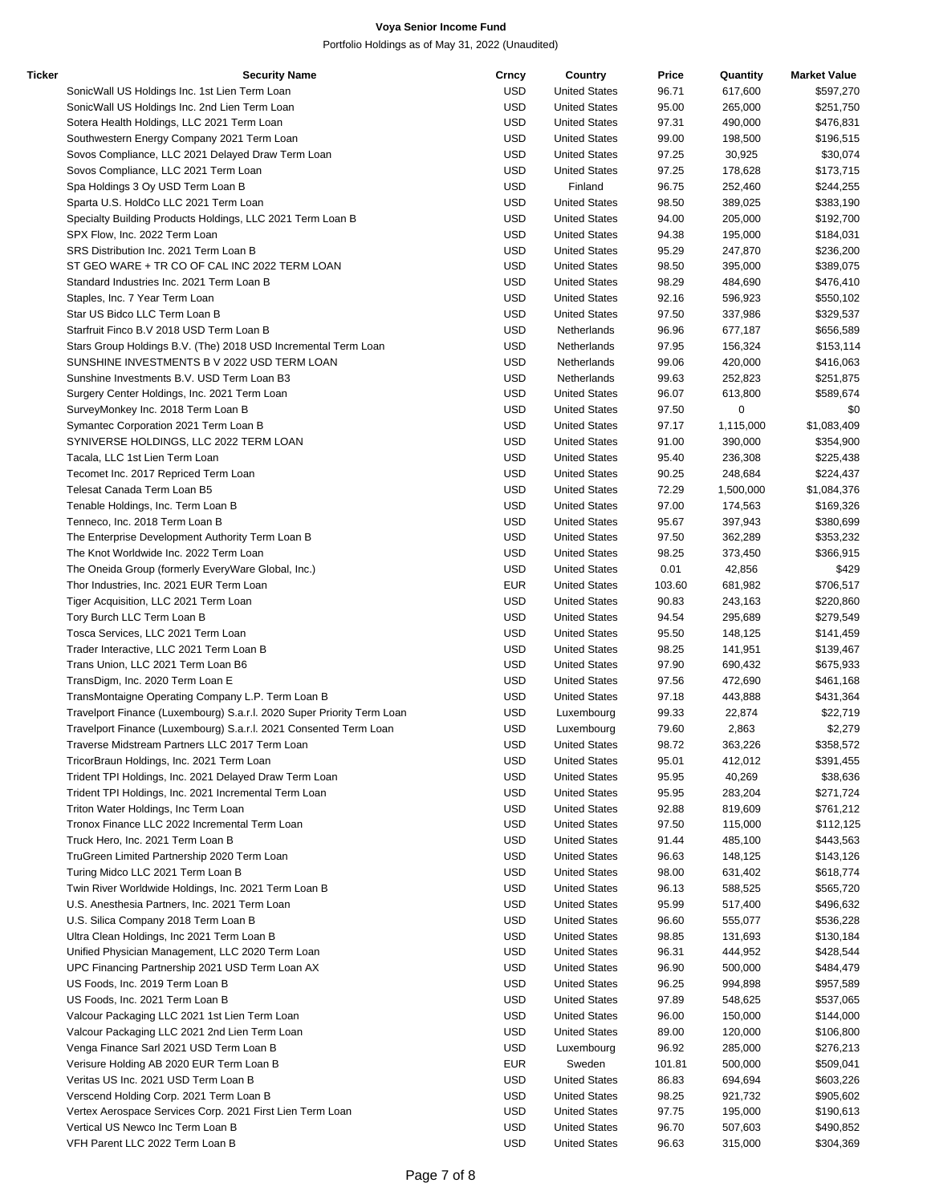| Ticker | <b>Security Name</b>                                                   | Crncy      | Country              | Price  | Quantity  | <b>Market Value</b> |
|--------|------------------------------------------------------------------------|------------|----------------------|--------|-----------|---------------------|
|        | SonicWall US Holdings Inc. 1st Lien Term Loan                          | <b>USD</b> | <b>United States</b> | 96.71  | 617,600   | \$597,270           |
|        | SonicWall US Holdings Inc. 2nd Lien Term Loan                          | <b>USD</b> | <b>United States</b> | 95.00  | 265,000   | \$251,750           |
|        | Sotera Health Holdings, LLC 2021 Term Loan                             | <b>USD</b> | <b>United States</b> | 97.31  | 490,000   | \$476,831           |
|        | Southwestern Energy Company 2021 Term Loan                             | <b>USD</b> | <b>United States</b> | 99.00  | 198,500   | \$196,515           |
|        | Sovos Compliance, LLC 2021 Delayed Draw Term Loan                      | <b>USD</b> | <b>United States</b> | 97.25  | 30,925    | \$30,074            |
|        | Sovos Compliance, LLC 2021 Term Loan                                   | <b>USD</b> | <b>United States</b> | 97.25  | 178,628   | \$173,715           |
|        | Spa Holdings 3 Oy USD Term Loan B                                      | <b>USD</b> | Finland              | 96.75  | 252,460   | \$244,255           |
|        | Sparta U.S. HoldCo LLC 2021 Term Loan                                  | <b>USD</b> | <b>United States</b> | 98.50  | 389,025   |                     |
|        |                                                                        |            |                      |        |           | \$383,190           |
|        | Specialty Building Products Holdings, LLC 2021 Term Loan B             | <b>USD</b> | <b>United States</b> | 94.00  | 205,000   | \$192,700           |
|        | SPX Flow, Inc. 2022 Term Loan                                          | <b>USD</b> | <b>United States</b> | 94.38  | 195,000   | \$184,031           |
|        | SRS Distribution Inc. 2021 Term Loan B                                 | USD        | <b>United States</b> | 95.29  | 247,870   | \$236,200           |
|        | ST GEO WARE + TR CO OF CAL INC 2022 TERM LOAN                          | <b>USD</b> | <b>United States</b> | 98.50  | 395,000   | \$389,075           |
|        | Standard Industries Inc. 2021 Term Loan B                              | <b>USD</b> | <b>United States</b> | 98.29  | 484,690   | \$476,410           |
|        | Staples, Inc. 7 Year Term Loan                                         | <b>USD</b> | <b>United States</b> | 92.16  | 596,923   | \$550,102           |
|        | Star US Bidco LLC Term Loan B                                          | <b>USD</b> | <b>United States</b> | 97.50  | 337,986   | \$329,537           |
|        | Starfruit Finco B.V 2018 USD Term Loan B                               | <b>USD</b> | Netherlands          | 96.96  | 677,187   | \$656,589           |
|        | Stars Group Holdings B.V. (The) 2018 USD Incremental Term Loan         | <b>USD</b> | Netherlands          | 97.95  | 156,324   | \$153,114           |
|        | SUNSHINE INVESTMENTS BV 2022 USD TERM LOAN                             | <b>USD</b> | Netherlands          | 99.06  | 420,000   | \$416,063           |
|        | Sunshine Investments B.V. USD Term Loan B3                             | USD        | Netherlands          | 99.63  | 252,823   | \$251,875           |
|        | Surgery Center Holdings, Inc. 2021 Term Loan                           | <b>USD</b> | <b>United States</b> | 96.07  | 613,800   | \$589,674           |
|        | SurveyMonkey Inc. 2018 Term Loan B                                     | <b>USD</b> | <b>United States</b> | 97.50  | 0         | \$0                 |
|        | Symantec Corporation 2021 Term Loan B                                  | <b>USD</b> | <b>United States</b> | 97.17  | 1,115,000 | \$1,083,409         |
|        | SYNIVERSE HOLDINGS, LLC 2022 TERM LOAN                                 | <b>USD</b> | <b>United States</b> | 91.00  | 390,000   | \$354,900           |
|        |                                                                        |            | <b>United States</b> |        |           |                     |
|        | Tacala, LLC 1st Lien Term Loan                                         | <b>USD</b> |                      | 95.40  | 236,308   | \$225,438           |
|        | Tecomet Inc. 2017 Repriced Term Loan                                   | <b>USD</b> | <b>United States</b> | 90.25  | 248,684   | \$224,437           |
|        | Telesat Canada Term Loan B5                                            | <b>USD</b> | <b>United States</b> | 72.29  | 1,500,000 | \$1,084,376         |
|        | Tenable Holdings, Inc. Term Loan B                                     | USD        | <b>United States</b> | 97.00  | 174,563   | \$169,326           |
|        | Tenneco, Inc. 2018 Term Loan B                                         | <b>USD</b> | <b>United States</b> | 95.67  | 397,943   | \$380,699           |
|        | The Enterprise Development Authority Term Loan B                       | <b>USD</b> | <b>United States</b> | 97.50  | 362,289   | \$353,232           |
|        | The Knot Worldwide Inc. 2022 Term Loan                                 | <b>USD</b> | <b>United States</b> | 98.25  | 373,450   | \$366,915           |
|        | The Oneida Group (formerly EveryWare Global, Inc.)                     | <b>USD</b> | <b>United States</b> | 0.01   | 42,856    | \$429               |
|        | Thor Industries, Inc. 2021 EUR Term Loan                               | <b>EUR</b> | <b>United States</b> | 103.60 | 681,982   | \$706,517           |
|        | Tiger Acquisition, LLC 2021 Term Loan                                  | <b>USD</b> | <b>United States</b> | 90.83  | 243,163   | \$220,860           |
|        | Tory Burch LLC Term Loan B                                             | <b>USD</b> | <b>United States</b> | 94.54  | 295,689   | \$279,549           |
|        | Tosca Services, LLC 2021 Term Loan                                     | USD        | <b>United States</b> | 95.50  | 148,125   | \$141,459           |
|        | Trader Interactive, LLC 2021 Term Loan B                               | <b>USD</b> | <b>United States</b> | 98.25  | 141,951   | \$139,467           |
|        | Trans Union, LLC 2021 Term Loan B6                                     | <b>USD</b> | <b>United States</b> | 97.90  | 690,432   | \$675,933           |
|        | TransDigm, Inc. 2020 Term Loan E                                       | <b>USD</b> | <b>United States</b> | 97.56  | 472,690   | \$461,168           |
|        |                                                                        | USD        |                      |        |           |                     |
|        | TransMontaigne Operating Company L.P. Term Loan B                      |            | <b>United States</b> | 97.18  | 443,888   | \$431,364           |
|        | Travelport Finance (Luxembourg) S.a.r.l. 2020 Super Priority Term Loan | <b>USD</b> | Luxembourg           | 99.33  | 22,874    | \$22,719            |
|        | Travelport Finance (Luxembourg) S.a.r.l. 2021 Consented Term Loan      | <b>USD</b> | Luxembourg           | 79.60  | 2,863     | \$2,279             |
|        | Traverse Midstream Partners LLC 2017 Term Loan                         | <b>USD</b> | <b>United States</b> | 98.72  | 363,226   | \$358,572           |
|        | TricorBraun Holdings, Inc. 2021 Term Loan                              | USD        | <b>United States</b> | 95.01  | 412,012   | \$391,455           |
|        | Trident TPI Holdings, Inc. 2021 Delayed Draw Term Loan                 | <b>USD</b> | <b>United States</b> | 95.95  | 40,269    | \$38,636            |
|        | Trident TPI Holdings, Inc. 2021 Incremental Term Loan                  | <b>USD</b> | <b>United States</b> | 95.95  | 283,204   | \$271,724           |
|        | Triton Water Holdings, Inc Term Loan                                   | USD        | <b>United States</b> | 92.88  | 819,609   | \$761,212           |
|        | Tronox Finance LLC 2022 Incremental Term Loan                          | USD        | <b>United States</b> | 97.50  | 115,000   | \$112,125           |
|        | Truck Hero, Inc. 2021 Term Loan B                                      | USD        | <b>United States</b> | 91.44  | 485,100   | \$443,563           |
|        | TruGreen Limited Partnership 2020 Term Loan                            | <b>USD</b> | <b>United States</b> | 96.63  | 148,125   | \$143,126           |
|        | Turing Midco LLC 2021 Term Loan B                                      | USD        | <b>United States</b> | 98.00  | 631,402   | \$618,774           |
|        | Twin River Worldwide Holdings, Inc. 2021 Term Loan B                   | USD        | <b>United States</b> | 96.13  | 588,525   | \$565,720           |
|        | U.S. Anesthesia Partners, Inc. 2021 Term Loan                          | <b>USD</b> | <b>United States</b> | 95.99  | 517,400   | \$496,632           |
|        | U.S. Silica Company 2018 Term Loan B                                   | <b>USD</b> | <b>United States</b> | 96.60  | 555,077   | \$536,228           |
|        | Ultra Clean Holdings, Inc 2021 Term Loan B                             | USD        | <b>United States</b> | 98.85  | 131,693   | \$130,184           |
|        |                                                                        |            |                      |        |           |                     |
|        | Unified Physician Management, LLC 2020 Term Loan                       | USD        | <b>United States</b> | 96.31  | 444,952   | \$428,544           |
|        | UPC Financing Partnership 2021 USD Term Loan AX                        | USD        | <b>United States</b> | 96.90  | 500,000   | \$484,479           |
|        | US Foods, Inc. 2019 Term Loan B                                        | <b>USD</b> | <b>United States</b> | 96.25  | 994,898   | \$957,589           |
|        | US Foods, Inc. 2021 Term Loan B                                        | USD        | <b>United States</b> | 97.89  | 548,625   | \$537,065           |
|        | Valcour Packaging LLC 2021 1st Lien Term Loan                          | USD        | <b>United States</b> | 96.00  | 150,000   | \$144,000           |
|        | Valcour Packaging LLC 2021 2nd Lien Term Loan                          | <b>USD</b> | <b>United States</b> | 89.00  | 120,000   | \$106,800           |
|        | Venga Finance Sarl 2021 USD Term Loan B                                | <b>USD</b> | Luxembourg           | 96.92  | 285,000   | \$276,213           |
|        | Verisure Holding AB 2020 EUR Term Loan B                               | <b>EUR</b> | Sweden               | 101.81 | 500,000   | \$509,041           |
|        | Veritas US Inc. 2021 USD Term Loan B                                   | USD        | <b>United States</b> | 86.83  | 694,694   | \$603,226           |
|        | Verscend Holding Corp. 2021 Term Loan B                                | USD        | <b>United States</b> | 98.25  | 921,732   | \$905,602           |
|        | Vertex Aerospace Services Corp. 2021 First Lien Term Loan              | USD        | <b>United States</b> | 97.75  | 195,000   | \$190,613           |
|        | Vertical US Newco Inc Term Loan B                                      | USD        | <b>United States</b> | 96.70  | 507,603   | \$490,852           |
|        | VFH Parent LLC 2022 Term Loan B                                        | <b>USD</b> | <b>United States</b> | 96.63  | 315,000   | \$304,369           |
|        |                                                                        |            |                      |        |           |                     |